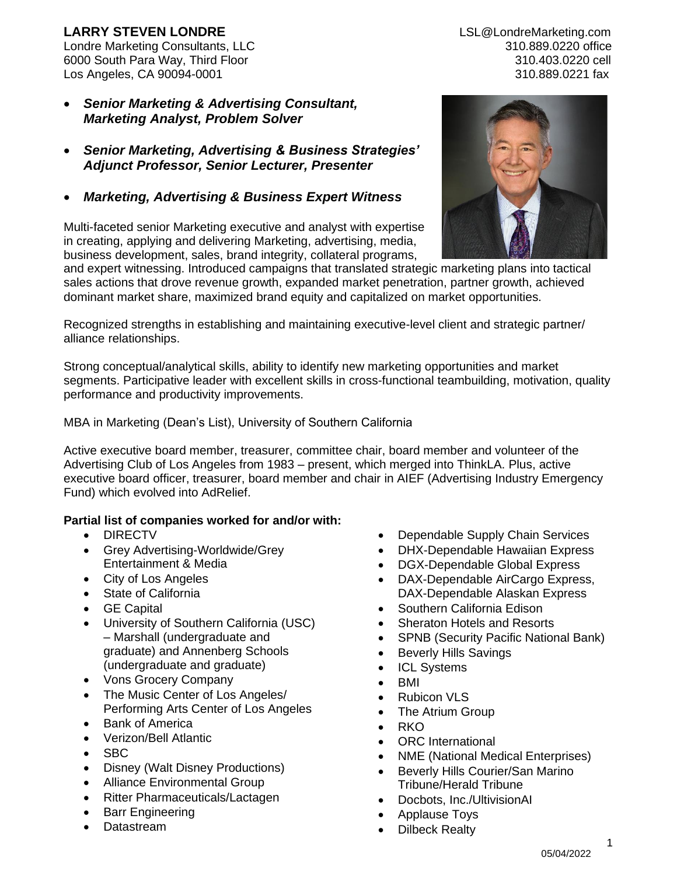# **LARRY STEVEN LONDRE** LSL@LondreMarketing.com

Londre Marketing Consultants, LLC 310.889.0220 office 6000 South Para Way, Third Floor 310.403.0220 cell Los Angeles, CA 90094-0001 310.889.0221 fax

- *Senior Marketing & Advertising Consultant, Marketing Analyst, Problem Solver*
- *Senior Marketing, Advertising & Business Strategies' Adjunct Professor, Senior Lecturer, Presenter*
- *Marketing, Advertising & Business Expert Witness*

Multi-faceted senior Marketing executive and analyst with expertise in creating, applying and delivering Marketing, advertising, media, business development, sales, brand integrity, collateral programs,



and expert witnessing. Introduced campaigns that translated strategic marketing plans into tactical sales actions that drove revenue growth, expanded market penetration, partner growth, achieved dominant market share, maximized brand equity and capitalized on market opportunities.

Recognized strengths in establishing and maintaining executive-level client and strategic partner/ alliance relationships.

Strong conceptual/analytical skills, ability to identify new marketing opportunities and market segments. Participative leader with excellent skills in cross-functional teambuilding, motivation, quality performance and productivity improvements.

MBA in Marketing (Dean's List), University of Southern California

Active executive board member, treasurer, committee chair, board member and volunteer of the Advertising Club of Los Angeles from 1983 – present, which merged into ThinkLA. Plus, active executive board officer, treasurer, board member and chair in AIEF (Advertising Industry Emergency Fund) which evolved into AdRelief.

## **Partial list of companies worked for and/or with:**

- DIRECTV
- Grey Advertising-Worldwide/Grey Entertainment & Media
- City of Los Angeles
- State of California
- GE Capital
- University of Southern California (USC) – Marshall (undergraduate and graduate) and Annenberg Schools (undergraduate and graduate)
- Vons Grocery Company
- The Music Center of Los Angeles/ Performing Arts Center of Los Angeles
- **Bank of America**
- Verizon/Bell Atlantic
- SBC
- Disney (Walt Disney Productions)
- Alliance Environmental Group
- Ritter Pharmaceuticals/Lactagen
- Barr Engineering
- Datastream
- Dependable Supply Chain Services
- DHX-Dependable Hawaiian Express
- DGX-Dependable Global Express
- DAX-Dependable AirCargo Express, DAX-Dependable Alaskan Express
- Southern California Edison
- Sheraton Hotels and Resorts
- SPNB (Security Pacific National Bank)
- Beverly Hills Savings
- ICL Systems
- BMI
- Rubicon VLS
- The Atrium Group
- RKO
- ORC International
- NME (National Medical Enterprises)
- Beverly Hills Courier/San Marino Tribune/Herald Tribune
- Docbots, Inc./UltivisionAI
- Applause Toys
- Dilbeck Realty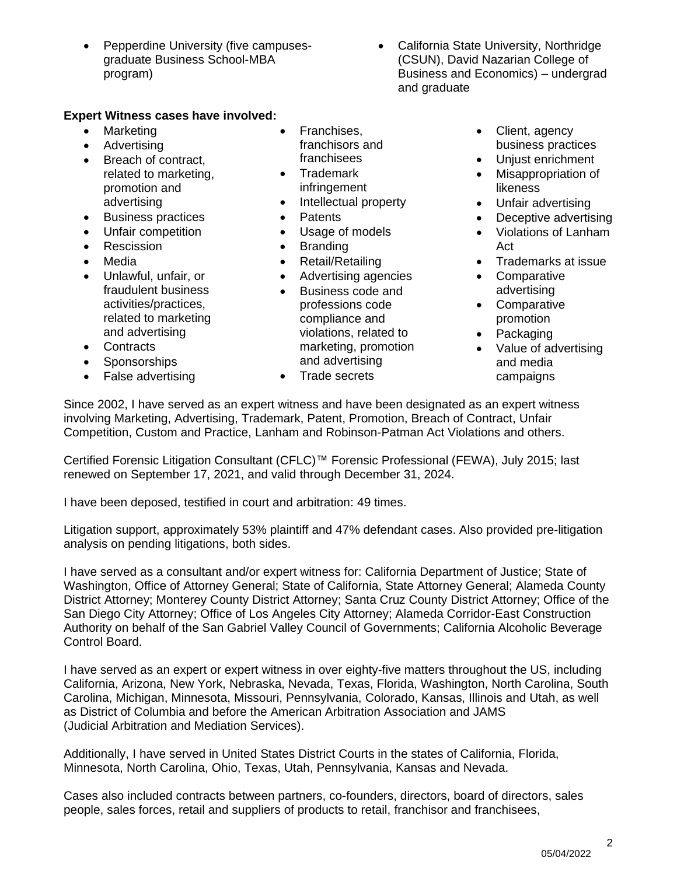- Pepperdine University (five campusesgraduate Business School-MBA program)
- California State University, Northridge (CSUN), David Nazarian College of Business and Economics) – undergrad and graduate

#### **Expert Witness cases have involved:**

- Marketing
- Advertising
- Breach of contract, related to marketing, promotion and advertising
- Business practices
- Unfair competition
- Rescission
- Media
- Unlawful, unfair, or fraudulent business activities/practices, related to marketing and advertising
- Contracts
- Sponsorships
- False advertising
- Franchises, franchisors and franchisees
- Trademark infringement
- Intellectual property
- Patents
- Usage of models
- Branding
- Retail/Retailing
- Advertising agencies
- Business code and professions code compliance and violations, related to marketing, promotion and advertising
- Trade secrets
- Client, agency business practices
- Unjust enrichment
- Misappropriation of likeness
- Unfair advertising
- Deceptive advertising
- Violations of Lanham Act
- Trademarks at issue
- Comparative advertising
- Comparative promotion
- Packaging
- Value of advertising and media campaigns

Since 2002, I have served as an expert witness and have been designated as an expert witness involving Marketing, Advertising, Trademark, Patent, Promotion, Breach of Contract, Unfair Competition, Custom and Practice, Lanham and Robinson-Patman Act Violations and others.

Certified Forensic Litigation Consultant (CFLC)™ Forensic Professional (FEWA), July 2015; last renewed on September 17, 2021, and valid through December 31, 2024.

I have been deposed, testified in court and arbitration: 49 times.

Litigation support, approximately 53% plaintiff and 47% defendant cases. Also provided pre-litigation analysis on pending litigations, both sides.

I have served as a consultant and/or expert witness for: California Department of Justice; State of Washington, Office of Attorney General; State of California, State Attorney General; Alameda County District Attorney; Monterey County District Attorney; Santa Cruz County District Attorney; Office of the San Diego City Attorney; Office of Los Angeles City Attorney; Alameda Corridor-East Construction Authority on behalf of the San Gabriel Valley Council of Governments; California Alcoholic Beverage Control Board.

I have served as an expert or expert witness in over eighty-five matters throughout the US, including California, Arizona, New York, Nebraska, Nevada, Texas, Florida, Washington, North Carolina, South Carolina, Michigan, Minnesota, Missouri, Pennsylvania, Colorado, Kansas, Illinois and Utah, as well as District of Columbia and before the American Arbitration Association and JAMS (Judicial Arbitration and Mediation Services).

Additionally, I have served in United States District Courts in the states of California, Florida, Minnesota, North Carolina, Ohio, Texas, Utah, Pennsylvania, Kansas and Nevada.

Cases also included contracts between partners, co-founders, directors, board of directors, sales people, sales forces, retail and suppliers of products to retail, franchisor and franchisees,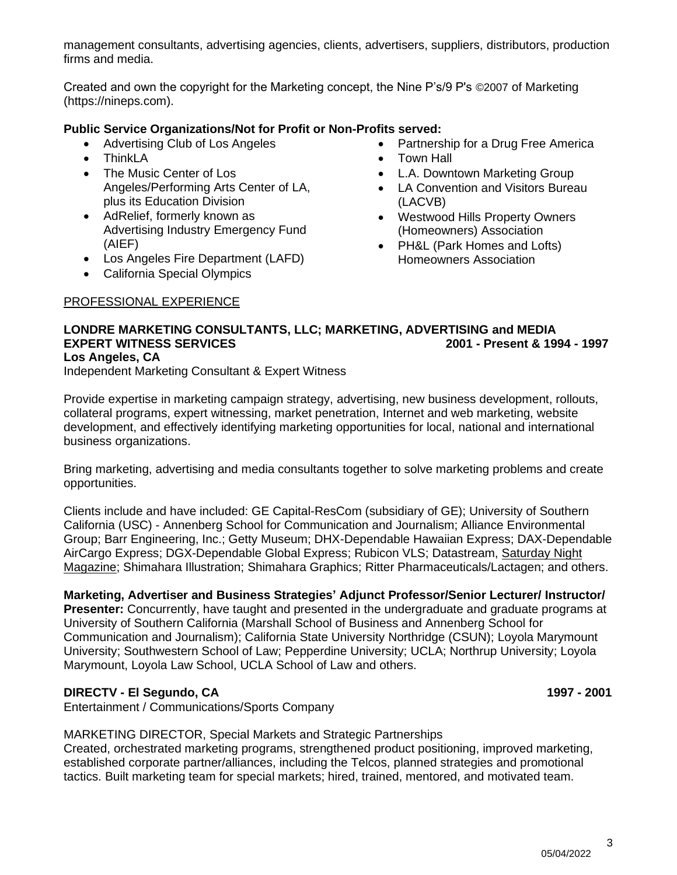management consultants, advertising agencies, clients, advertisers, suppliers, distributors, production firms and media.

Created and own the copyright for the Marketing concept, the Nine P's/9 P's ©2007 of Marketing [\(https://nineps.com\)](https://nineps.com/).

#### **Public Service Organizations/Not for Profit or Non-Profits served:**

- Advertising Club of Los Angeles
- ThinkLA
- The Music Center of Los Angeles/Performing Arts Center of LA, plus its Education Division
- AdRelief, formerly known as Advertising Industry Emergency Fund (AIEF)
- Los Angeles Fire Department (LAFD)
- California Special Olympics

#### PROFESSIONAL EXPERIENCE

- Partnership for a Drug Free America
- Town Hall
- L.A. Downtown Marketing Group
- LA Convention and Visitors Bureau (LACVB)
- Westwood Hills Property Owners (Homeowners) Association
- PH&L (Park Homes and Lofts) Homeowners Association

#### **LONDRE MARKETING CONSULTANTS, LLC; MARKETING, ADVERTISING and MEDIA EXPERT WITNESS SERVICES 2001 - Present & 1994 - 1997 Los Angeles, CA**

Independent Marketing Consultant & Expert Witness

Provide expertise in marketing campaign strategy, advertising, new business development, rollouts, collateral programs, expert witnessing, market penetration, Internet and web marketing, website development, and effectively identifying marketing opportunities for local, national and international business organizations.

Bring marketing, advertising and media consultants together to solve marketing problems and create opportunities.

Clients include and have included: GE Capital-ResCom (subsidiary of GE); University of Southern California (USC) - Annenberg School for Communication and Journalism; Alliance Environmental Group; Barr Engineering, Inc.; Getty Museum; DHX-Dependable Hawaiian Express; DAX-Dependable AirCargo Express; [DGX-Dependable Global Express;](https://adwords.google.com/select/ccidentity?oca=8261265291&dst=CampaignSummary) Rubicon VLS; Datastream, Saturday Night Magazine; Shimahara Illustration; Shimahara Graphics; Ritter Pharmaceuticals/Lactagen; and others.

#### **Marketing, Advertiser and Business Strategies' Adjunct Professor/Senior Lecturer/ Instructor/**

**Presenter:** Concurrently, have taught and presented in the undergraduate and graduate programs at University of Southern California (Marshall School of Business and Annenberg School for Communication and Journalism); California State University Northridge (CSUN); Loyola Marymount University; Southwestern School of Law; Pepperdine University; UCLA; Northrup University; Loyola Marymount, Loyola Law School, UCLA School of Law and others.

#### **DIRECTV - El Segundo, CA 1997 - 2001**

Entertainment / Communications/Sports Company

MARKETING DIRECTOR, Special Markets and Strategic Partnerships Created, orchestrated marketing programs, strengthened product positioning, improved marketing, established corporate partner/alliances, including the Telcos, planned strategies and promotional tactics. Built marketing team for special markets; hired, trained, mentored, and motivated team.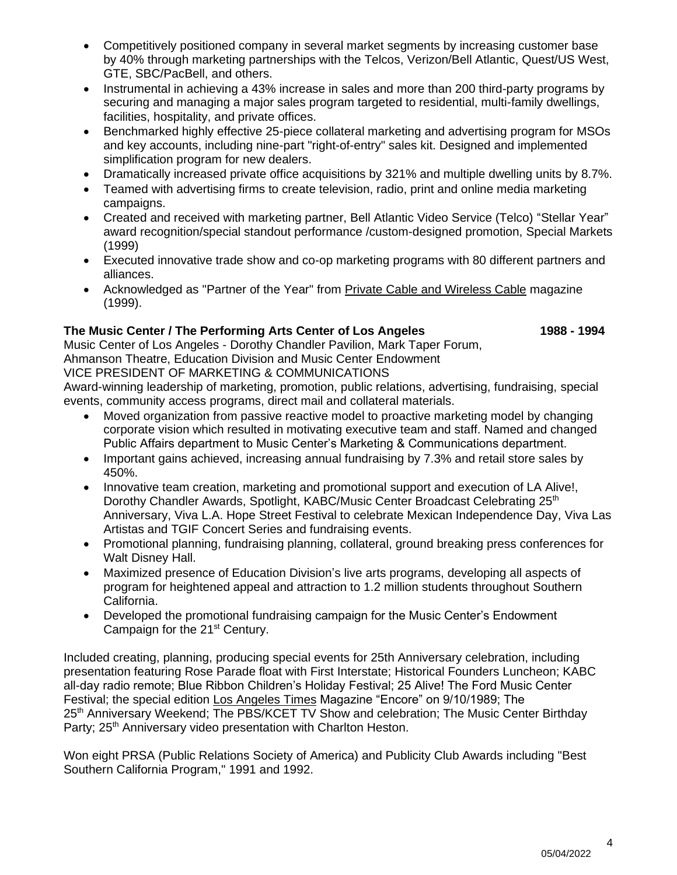- Competitively positioned company in several market segments by increasing customer base by 40% through marketing partnerships with the Telcos, Verizon/Bell Atlantic, Quest/US West, GTE, SBC/PacBell, and others.
- Instrumental in achieving a 43% increase in sales and more than 200 third-party programs by securing and managing a major sales program targeted to residential, multi-family dwellings, facilities, hospitality, and private offices.
- Benchmarked highly effective 25-piece collateral marketing and advertising program for MSOs and key accounts, including nine-part "right-of-entry" sales kit. Designed and implemented simplification program for new dealers.
- Dramatically increased private office acquisitions by 321% and multiple dwelling units by 8.7%.
- Teamed with advertising firms to create television, radio, print and online media marketing campaigns.
- Created and received with marketing partner, Bell Atlantic Video Service (Telco) "Stellar Year" award recognition/special standout performance /custom-designed promotion, Special Markets (1999)
- Executed innovative trade show and co-op marketing programs with 80 different partners and alliances.
- Acknowledged as "Partner of the Year" from Private Cable and Wireless Cable magazine (1999).

### **The Music Center / The Performing Arts Center of Los Angeles 1988 - 1994**

Music Center of Los Angeles - Dorothy Chandler Pavilion, Mark Taper Forum, Ahmanson Theatre, Education Division and Music Center Endowment

VICE PRESIDENT OF MARKETING & COMMUNICATIONS

Award-winning leadership of marketing, promotion, public relations, advertising, fundraising, special events, community access programs, direct mail and collateral materials.

- Moved organization from passive reactive model to proactive marketing model by changing corporate vision which resulted in motivating executive team and staff. Named and changed Public Affairs department to Music Center's Marketing & Communications department.
- Important gains achieved, increasing annual fundraising by 7.3% and retail store sales by 450%.
- Innovative team creation, marketing and promotional support and execution of LA Alive!, Dorothy Chandler Awards, Spotlight, KABC/Music Center Broadcast Celebrating 25<sup>th</sup> Anniversary, Viva L.A. Hope Street Festival to celebrate Mexican Independence Day, Viva Las Artistas and TGIF Concert Series and fundraising events.
- Promotional planning, fundraising planning, collateral, ground breaking press conferences for Walt Disney Hall.
- Maximized presence of Education Division's live arts programs, developing all aspects of program for heightened appeal and attraction to 1.2 million students throughout Southern California.
- Developed the promotional fundraising campaign for the Music Center's Endowment Campaign for the 21<sup>st</sup> Century.

Included creating, planning, producing special events for 25th Anniversary celebration, including presentation featuring Rose Parade float with First Interstate; Historical Founders Luncheon; KABC all-day radio remote; Blue Ribbon Children's Holiday Festival; 25 Alive! The Ford Music Center Festival; the special edition Los Angeles Times Magazine "Encore" on 9/10/1989; The 25<sup>th</sup> Anniversary Weekend; The PBS/KCET TV Show and celebration; The Music Center Birthday Party; 25<sup>th</sup> Anniversary video presentation with Charlton Heston.

Won eight PRSA (Public Relations Society of America) and Publicity Club Awards including "Best Southern California Program," 1991 and 1992.

4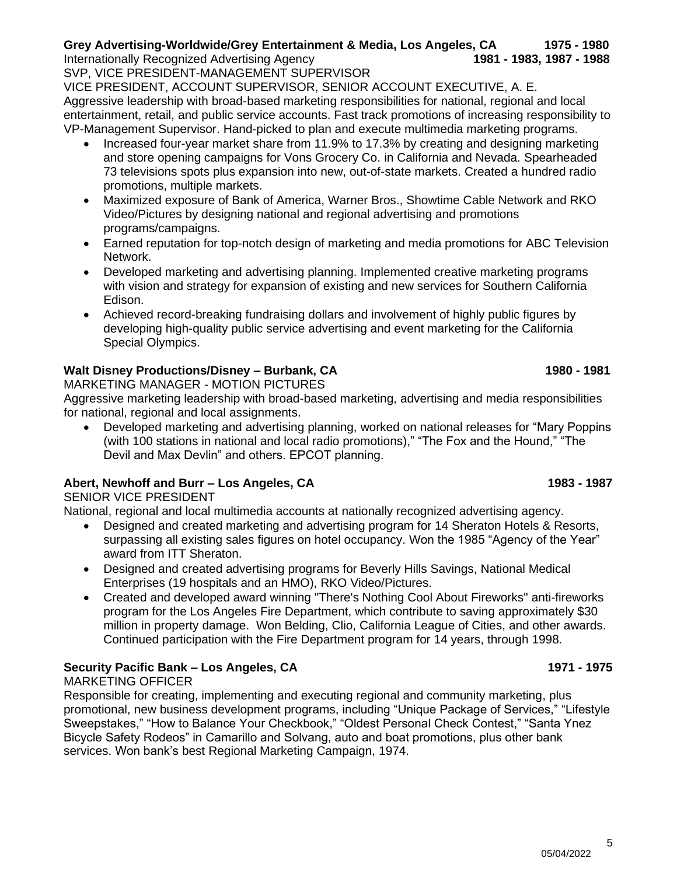5

SVP, VICE PRESIDENT-MANAGEMENT SUPERVISOR

VICE PRESIDENT, ACCOUNT SUPERVISOR, SENIOR ACCOUNT EXECUTIVE, A. E. Aggressive leadership with broad-based marketing responsibilities for national, regional and local entertainment, retail, and public service accounts. Fast track promotions of increasing responsibility to VP-Management Supervisor. Hand-picked to plan and execute multimedia marketing programs.

- Increased four-year market share from 11.9% to 17.3% by creating and designing marketing and store opening campaigns for Vons Grocery Co. in California and Nevada. Spearheaded 73 televisions spots plus expansion into new, out-of-state markets. Created a hundred radio promotions, multiple markets.
- Maximized exposure of Bank of America, Warner Bros., Showtime Cable Network and RKO Video/Pictures by designing national and regional advertising and promotions programs/campaigns.
- Earned reputation for top-notch design of marketing and media promotions for ABC Television Network.
- Developed marketing and advertising planning. Implemented creative marketing programs with vision and strategy for expansion of existing and new services for Southern California Edison.
- Achieved record-breaking fundraising dollars and involvement of highly public figures by developing high-quality public service advertising and event marketing for the California Special Olympics.

## **Walt Disney Productions/Disney – Burbank, CA 1980 - 1981**

MARKETING MANAGER - MOTION PICTURES

Aggressive marketing leadership with broad-based marketing, advertising and media responsibilities for national, regional and local assignments.

• Developed marketing and advertising planning, worked on national releases for "Mary Poppins (with 100 stations in national and local radio promotions)," "The Fox and the Hound," "The Devil and Max Devlin" and others. EPCOT planning.

## **Abert, Newhoff and Burr – Los Angeles, CA 1983 - 1987**

SENIOR VICE PRESIDENT

National, regional and local multimedia accounts at nationally recognized advertising agency.

- Designed and created marketing and advertising program for 14 Sheraton Hotels & Resorts, surpassing all existing sales figures on hotel occupancy. Won the 1985 "Agency of the Year" award from ITT Sheraton.
- Designed and created advertising programs for Beverly Hills Savings, National Medical Enterprises (19 hospitals and an HMO), RKO Video/Pictures.
- Created and developed award winning "There's Nothing Cool About Fireworks" anti-fireworks program for the Los Angeles Fire Department, which contribute to saving approximately \$30 million in property damage. Won Belding, Clio, California League of Cities, and other awards. Continued participation with the Fire Department program for 14 years, through 1998.

## **Security Pacific Bank – Los Angeles, CA** 1971 - **1975**

MARKETING OFFICER

Responsible for creating, implementing and executing regional and community marketing, plus promotional, new business development programs, including "Unique Package of Services," "Lifestyle Sweepstakes," "How to Balance Your Checkbook," "Oldest Personal Check Contest," "Santa Ynez Bicycle Safety Rodeos" in Camarillo and Solvang, auto and boat promotions, plus other bank services. Won bank's best Regional Marketing Campaign, 1974.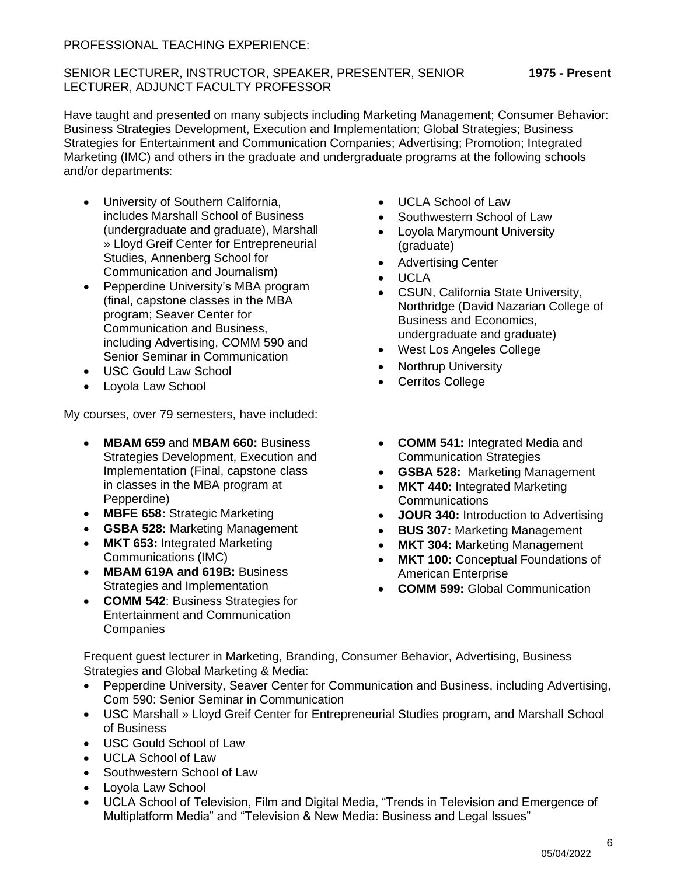### PROFESSIONAL TEACHING EXPERIENCE:

#### SENIOR LECTURER, INSTRUCTOR, SPEAKER, PRESENTER, SENIOR **1975 - Present** LECTURER, ADJUNCT FACULTY PROFESSOR

Have taught and presented on many subjects including Marketing Management; Consumer Behavior: Business Strategies Development, Execution and Implementation; Global Strategies; Business Strategies for Entertainment and Communication Companies; Advertising; Promotion; Integrated Marketing (IMC) and others in the graduate and undergraduate programs at the following schools and/or departments:

- University of Southern California, includes Marshall School of Business (undergraduate and graduate), [Marshall](http://www.marshall.usc.edu/greif/) [» Lloyd Greif Center for Entrepreneurial](http://www.marshall.usc.edu/greif/) [Studies,](http://www.marshall.usc.edu/greif/) Annenberg School for Communication and Journalism)
- Pepperdine University's MBA program (final, capstone classes in the MBA program; Seaver Center for Communication and Business, including Advertising, COMM 590 and Senior Seminar in Communication
- USC Gould Law School
- Loyola Law School

My courses, over 79 semesters, have included:

- **MBAM 659** and **MBAM 660:** Business Strategies Development, Execution and Implementation (Final, capstone class in classes in the MBA program at Pepperdine)
- **MBFE 658:** Strategic Marketing
- **GSBA 528:** Marketing Management
- **MKT 653:** Integrated Marketing Communications (IMC)
- **MBAM 619A and 619B:** Business Strategies and Implementation
- **COMM 542**: Business Strategies for Entertainment and Communication **Companies**
- UCLA School of Law
- Southwestern School of Law
- Loyola Marymount University (graduate)
- Advertising Center
- UCLA
- CSUN, California State University, Northridge (David Nazarian College of Business and Economics, undergraduate and graduate)
- West Los Angeles College
- Northrup University
- Cerritos College
- **COMM 541:** Integrated Media and Communication Strategies
- **GSBA 528:** Marketing Management
- **MKT 440: Integrated Marketing Communications**
- **JOUR 340:** Introduction to Advertising
- **BUS 307:** Marketing Management
- **MKT 304:** Marketing Management
- **MKT 100:** Conceptual Foundations of American Enterprise
- **COMM 599:** Global Communication

Frequent guest lecturer in Marketing, Branding, Consumer Behavior, Advertising, Business Strategies and Global Marketing & Media:

- Pepperdine University, Seaver Center for Communication and Business, including Advertising, Com 590: Senior Seminar in Communication
- [USC Marshall » Lloyd Greif Center for Entrepreneurial Studies](http://www.marshall.usc.edu/greif/) program, and Marshall School of Business
- USC Gould School of Law
- UCLA School of Law
- Southwestern School of Law
- Loyola Law School
- UCLA School of Television, Film and Digital Media, "Trends in Television and Emergence of Multiplatform Media" and "Television & New Media: Business and Legal Issues"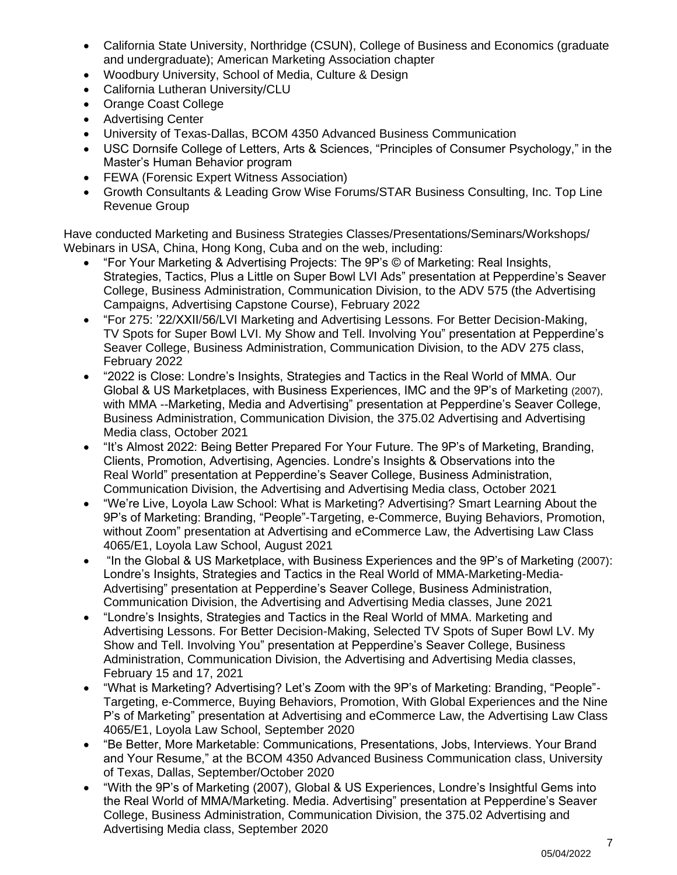- California State University, Northridge (CSUN), College of Business and Economics (graduate and undergraduate); American Marketing Association chapter
- Woodbury University, School of Media, Culture & Design
- California Lutheran University/CLU
- Orange Coast College
- Advertising Center
- University of Texas-Dallas, BCOM 4350 Advanced Business Communication
- USC Dornsife College of Letters, Arts & Sciences, "Principles of Consumer Psychology," in the Master's Human Behavior program
- FEWA (Forensic Expert Witness Association)
- Growth Consultants & Leading Grow Wise Forums/STAR Business Consulting, Inc. Top Line Revenue Group

Have conducted Marketing and Business Strategies Classes/Presentations/Seminars/Workshops/ Webinars in USA, China, Hong Kong, Cuba and on the web, including:

- "For Your Marketing & Advertising Projects: The 9P's © of Marketing: Real Insights, Strategies, Tactics, Plus a Little on Super Bowl LVI Ads" presentation at Pepperdine's Seaver College, Business Administration, Communication Division, to the ADV 575 (the Advertising Campaigns, Advertising Capstone Course), February 2022
- "For 275: '22/XXII/56/LVI Marketing and Advertising Lessons. For Better Decision-Making, TV Spots for Super Bowl LVI. My Show and Tell. Involving You" presentation at Pepperdine's Seaver College, Business Administration, Communication Division, to the ADV 275 class, February 2022
- "2022 is Close: Londre's Insights, Strategies and Tactics in the Real World of MMA. Our Global & US Marketplaces, with Business Experiences, IMC and the 9P's of Marketing (2007), with MMA --Marketing, Media and Advertising" presentation at Pepperdine's Seaver College, Business Administration, Communication Division, the 375.02 Advertising and Advertising Media class, October 2021
- "It's Almost 2022: Being Better Prepared For Your Future. The 9P's of Marketing, Branding, Clients, Promotion, Advertising, Agencies. Londre's Insights & Observations into the Real World" presentation at Pepperdine's Seaver College, Business Administration, Communication Division, the Advertising and Advertising Media class, October 2021
- "We're Live, Loyola Law School: What is Marketing? Advertising? Smart Learning About the 9P's of Marketing: Branding, "People"-Targeting, e-Commerce, Buying Behaviors, Promotion, without Zoom" presentation at Advertising and eCommerce Law, the Advertising Law Class 4065/E1, Loyola Law School, August 2021
- "In the Global & US Marketplace, with Business Experiences and the 9P's of Marketing (2007): Londre's Insights, Strategies and Tactics in the Real World of MMA-Marketing-Media-Advertising" presentation at Pepperdine's Seaver College, Business Administration, Communication Division, the Advertising and Advertising Media classes, June 2021
- "Londre's Insights, Strategies and Tactics in the Real World of MMA. Marketing and Advertising Lessons. For Better Decision-Making, Selected TV Spots of Super Bowl LV. My Show and Tell. Involving You" presentation at Pepperdine's Seaver College, Business Administration, Communication Division, the Advertising and Advertising Media classes, February 15 and 17, 2021
- "What is Marketing? Advertising? Let's Zoom with the 9P's of Marketing: Branding, "People"- Targeting, e-Commerce, Buying Behaviors, Promotion, With Global Experiences and the Nine P's of Marketing" presentation at Advertising and eCommerce Law, the Advertising Law Class 4065/E1, Loyola Law School, September 2020
- "Be Better, More Marketable: Communications, Presentations, Jobs, Interviews. Your Brand and Your Resume," at the BCOM 4350 Advanced Business Communication class, University of Texas, Dallas, September/October 2020
- "With the 9P's of Marketing (2007), Global & US Experiences, Londre's Insightful Gems into the Real World of MMA/Marketing. Media. Advertising" presentation at Pepperdine's Seaver College, Business Administration, Communication Division, the 375.02 Advertising and Advertising Media class, September 2020

7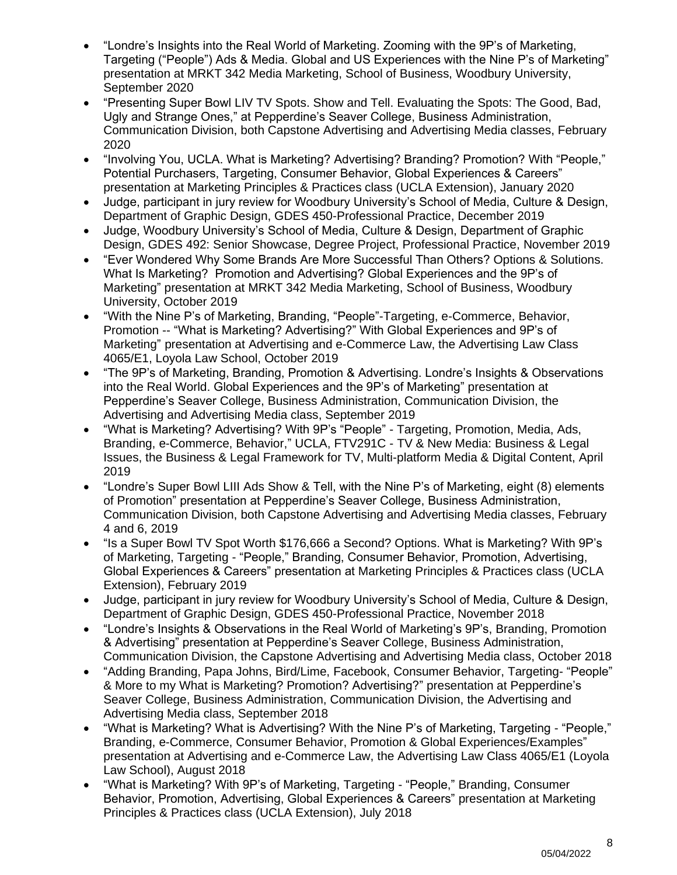- "Londre's Insights into the Real World of Marketing. Zooming with the 9P's of Marketing, Targeting ("People") Ads & Media. Global and US Experiences with the Nine P's of Marketing" presentation at MRKT 342 Media Marketing, School of Business, Woodbury University, September 2020
- "Presenting Super Bowl LIV TV Spots. Show and Tell. Evaluating the Spots: The Good, Bad, Ugly and Strange Ones," at Pepperdine's Seaver College, Business Administration, Communication Division, both Capstone Advertising and Advertising Media classes, February 2020
- "Involving You, UCLA. What is Marketing? Advertising? Branding? Promotion? With "People," Potential Purchasers, Targeting, Consumer Behavior, Global Experiences & Careers" presentation at Marketing Principles & Practices class (UCLA Extension), January 2020
- Judge, participant in jury review for Woodbury University's School of Media, Culture & Design, Department of Graphic Design, GDES 450-Professional Practice, December 2019
- Judge, Woodbury University's School of Media, Culture & Design, Department of Graphic Design, GDES 492: Senior Showcase, Degree Project, Professional Practice, November 2019
- "Ever Wondered Why Some Brands Are More Successful Than Others? Options & Solutions. What Is Marketing? Promotion and Advertising? Global Experiences and the 9P's of Marketing" presentation at MRKT 342 Media Marketing, School of Business, Woodbury University, October 2019
- "With the Nine P's of Marketing, Branding, "People"-Targeting, e-Commerce, Behavior, Promotion -- "What is Marketing? Advertising?" With Global Experiences and 9P's of Marketing" presentation at Advertising and e-Commerce Law, the Advertising Law Class 4065/E1, Loyola Law School, October 2019
- "The 9P's of Marketing, Branding, Promotion & Advertising. Londre's Insights & Observations into the Real World. Global Experiences and the 9P's of Marketing" presentation at Pepperdine's Seaver College, Business Administration, Communication Division, the Advertising and Advertising Media class, September 2019
- "What is Marketing? Advertising? With 9P's "People" Targeting, Promotion, Media, Ads, Branding, e-Commerce, Behavior," UCLA, FTV291C - TV & New Media: Business & Legal Issues, the Business & Legal Framework for TV, Multi-platform Media & Digital Content, April 2019
- "Londre's Super Bowl LIII Ads Show & Tell, with the Nine P's of Marketing, eight (8) elements of Promotion" presentation at Pepperdine's Seaver College, Business Administration, Communication Division, both Capstone Advertising and Advertising Media classes, February 4 and 6, 2019
- "Is a Super Bowl TV Spot Worth \$176,666 a Second? Options. What is Marketing? With 9P's of Marketing, Targeting - "People," Branding, Consumer Behavior, Promotion, Advertising, Global Experiences & Careers" presentation at Marketing Principles & Practices class (UCLA Extension), February 2019
- Judge, participant in jury review for Woodbury University's School of Media, Culture & Design, Department of Graphic Design, GDES 450-Professional Practice, November 2018
- "Londre's Insights & Observations in the Real World of Marketing's 9P's, Branding, Promotion & Advertising" presentation at Pepperdine's Seaver College, Business Administration, Communication Division, the Capstone Advertising and Advertising Media class, October 2018
- "Adding Branding, Papa Johns, Bird/Lime, Facebook, Consumer Behavior, Targeting- "People" & More to my What is Marketing? Promotion? Advertising?" presentation at Pepperdine's Seaver College, Business Administration, Communication Division, the Advertising and Advertising Media class, September 2018
- "What is Marketing? What is Advertising? With the Nine P's of Marketing, Targeting "People," Branding, e-Commerce, Consumer Behavior, Promotion & Global Experiences/Examples" presentation at Advertising and e-Commerce Law, the Advertising Law Class 4065/E1 (Loyola Law School), August 2018
- "What is Marketing? With 9P's of Marketing, Targeting "People," Branding, Consumer Behavior, Promotion, Advertising, Global Experiences & Careers" presentation at Marketing Principles & Practices class (UCLA Extension), July 2018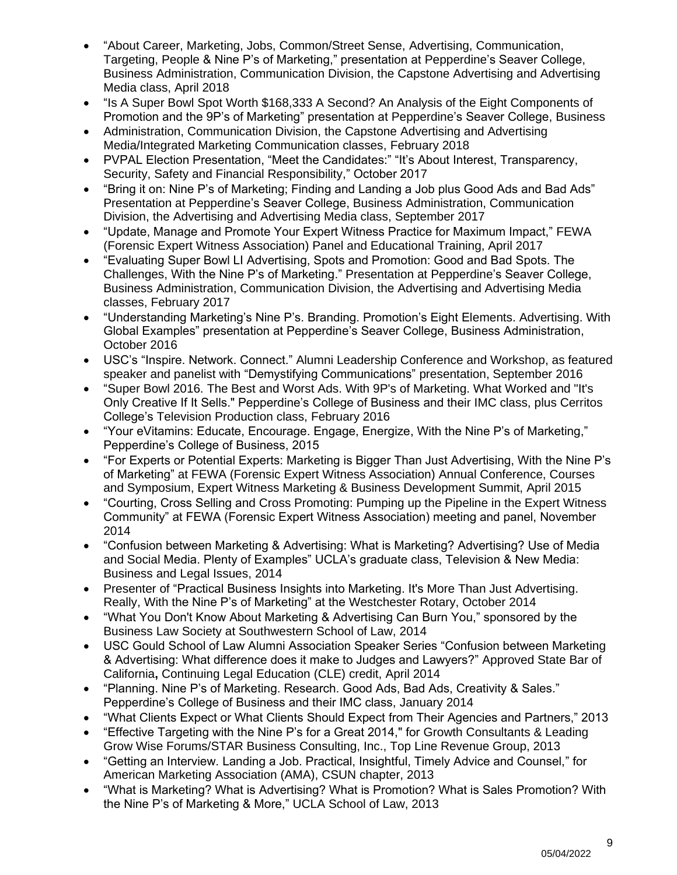- "About Career, Marketing, Jobs, Common/Street Sense, Advertising, Communication, Targeting, People & Nine P's of Marketing," presentation at Pepperdine's Seaver College, Business Administration, Communication Division, the Capstone Advertising and Advertising Media class, April 2018
- "Is A Super Bowl Spot Worth \$168,333 A Second? An Analysis of the Eight Components of Promotion and the 9P's of Marketing" presentation at Pepperdine's Seaver College, Business
- Administration, Communication Division, the Capstone Advertising and Advertising Media/Integrated Marketing Communication classes, February 2018
- PVPAL Election Presentation, "Meet the Candidates:" "It's About Interest, Transparency, Security, Safety and Financial Responsibility," October 2017
- "Bring it on: Nine P's of Marketing; Finding and Landing a Job plus Good Ads and Bad Ads" Presentation at Pepperdine's Seaver College, Business Administration, Communication Division, the Advertising and Advertising Media class, September 2017
- "Update, Manage and Promote Your Expert Witness Practice for Maximum Impact," FEWA (Forensic Expert Witness Association) Panel and Educational Training, April 2017
- "Evaluating Super Bowl LI Advertising, Spots and Promotion: Good and Bad Spots. The Challenges, With the Nine P's of Marketing." Presentation at Pepperdine's Seaver College, Business Administration, Communication Division, the Advertising and Advertising Media classes, February 2017
- "Understanding Marketing's Nine P's. Branding. Promotion's Eight Elements. Advertising. With Global Examples" presentation at Pepperdine's Seaver College, Business Administration, October 2016
- USC's "Inspire. Network. Connect." Alumni Leadership Conference and Workshop, as featured speaker and panelist with "Demystifying Communications" presentation, September 2016
- "Super Bowl 2016. The Best and Worst Ads. With 9P's of Marketing. What Worked and "It's Only Creative If It Sells." Pepperdine's College of Business and their IMC class, plus Cerritos College's Television Production class, February 2016
- "Your eVitamins: Educate, Encourage. Engage, Energize, With the Nine P's of Marketing," Pepperdine's College of Business, 2015
- "For Experts or Potential Experts: Marketing is Bigger Than Just Advertising, With the Nine P's of Marketing" at FEWA (Forensic Expert Witness Association) Annual Conference, Courses and Symposium, Expert Witness Marketing & Business Development Summit, April 2015
- "Courting, Cross Selling and Cross Promoting: Pumping up the Pipeline in the Expert Witness Community" at FEWA (Forensic Expert Witness Association) meeting and panel, November 2014
- "Confusion between Marketing & Advertising: What is Marketing? Advertising? Use of Media and Social Media. Plenty of Examples" UCLA's graduate class, Television & New Media: Business and Legal Issues, 2014
- Presenter of "Practical Business Insights into Marketing. It's More Than Just Advertising. Really, With the Nine P's of Marketing" at the Westchester Rotary, October 2014
- "What You Don't Know About Marketing & Advertising Can Burn You," sponsored by the Business Law Society at Southwestern School of Law, 2014
- USC Gould School of Law Alumni Association Speaker Series "Confusion between Marketing & Advertising: What difference does it make to Judges and Lawyers?" Approved State Bar of California**,** Continuing Legal Education (CLE) credit, April 2014
- "Planning. Nine P's of Marketing. Research. Good Ads, Bad Ads, Creativity & Sales." Pepperdine's College of Business and their IMC class, January 2014
- "What Clients Expect or What Clients Should Expect from Their Agencies and Partners," 2013
- "Effective Targeting with the Nine P's for a Great 2014," for Growth Consultants & Leading Grow Wise Forums/STAR Business Consulting, Inc., Top Line Revenue Group, 2013
- "Getting an Interview. Landing a Job. Practical, Insightful, Timely Advice and Counsel," for American Marketing Association (AMA), CSUN chapter, 2013
- "What is Marketing? What is Advertising? What is Promotion? What is Sales Promotion? With the Nine P's of Marketing & More," UCLA School of Law, 2013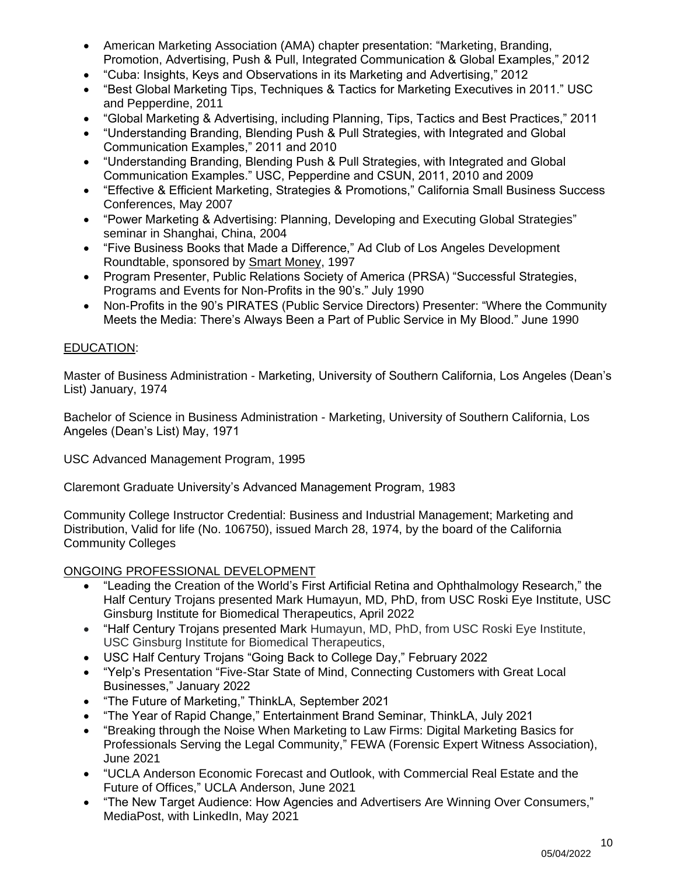- American Marketing Association (AMA) chapter presentation: "Marketing, Branding, Promotion, Advertising, Push & Pull, Integrated Communication & Global Examples," 2012
- "Cuba: Insights, Keys and Observations in its Marketing and Advertising," 2012
- "Best Global Marketing Tips, Techniques & Tactics for Marketing Executives in 2011." USC and Pepperdine, 2011
- "Global Marketing & Advertising, including Planning, Tips, Tactics and Best Practices," 2011
- "Understanding Branding, Blending Push & Pull Strategies, with Integrated and Global Communication Examples," 2011 and 2010
- "Understanding Branding, Blending Push & Pull Strategies, with Integrated and Global Communication Examples." USC, Pepperdine and CSUN, 2011, 2010 and 2009
- "Effective & Efficient Marketing, Strategies & Promotions," California Small Business Success Conferences, May 2007
- "Power Marketing & Advertising: Planning, Developing and Executing Global Strategies" seminar in Shanghai, China, 2004
- "Five Business Books that Made a Difference," Ad Club of Los Angeles Development Roundtable, sponsored by Smart Money, 1997
- Program Presenter, Public Relations Society of America (PRSA) "Successful Strategies, Programs and Events for Non-Profits in the 90's." July 1990
- Non-Profits in the 90's PIRATES (Public Service Directors) Presenter: "Where the Community Meets the Media: There's Always Been a Part of Public Service in My Blood." June 1990

## EDUCATION:

Master of Business Administration - Marketing, University of Southern California, Los Angeles (Dean's List) January, 1974

Bachelor of Science in Business Administration - Marketing, University of Southern California, Los Angeles (Dean's List) May, 1971

USC Advanced Management Program, 1995

Claremont Graduate University's Advanced Management Program, 1983

Community College Instructor Credential: Business and Industrial Management; Marketing and Distribution, Valid for life (No. 106750), issued March 28, 1974, by the board of the California Community Colleges

## ONGOING PROFESSIONAL DEVELOPMENT

- "Leading the Creation of the World's First Artificial Retina and Ophthalmology Research," the Half Century Trojans presented Mark Humayun, MD, PhD, from USC Roski Eye Institute, USC Ginsburg Institute for Biomedical Therapeutics, April 2022
- "Half Century Trojans presented Mark Humayun, MD, PhD, from USC Roski Eye Institute, USC Ginsburg Institute for Biomedical Therapeutics,
- [USC Half Century Trojans "Going Back to College Day,](https://click.uscalumni.usc.edu/?qs=4291faacd380de11666acde7c3e749925fda00831124efd7b6c6f56b8d276ba9ca00af59793faba14cd5069509b27ca0d3e0fc67bceb6359)" February 2022
- "Yelp's Presentation "Five-Star State of Mind, Connecting Customers with Great Local Businesses," January 2022
- "The Future of Marketing," ThinkLA, September 2021
- "The Year of Rapid Change," Entertainment Brand Seminar, ThinkLA, July 2021
- "Breaking through the Noise When Marketing to Law Firms: Digital Marketing Basics for Professionals Serving the Legal Community," FEWA (Forensic Expert Witness Association), June 2021
- "UCLA Anderson Economic Forecast and Outlook, with Commercial Real Estate and the Future of Offices," UCLA Anderson, June 2021
- "The New Target Audience: How Agencies and Advertisers Are Winning Over Consumers," MediaPost, with LinkedIn, May 2021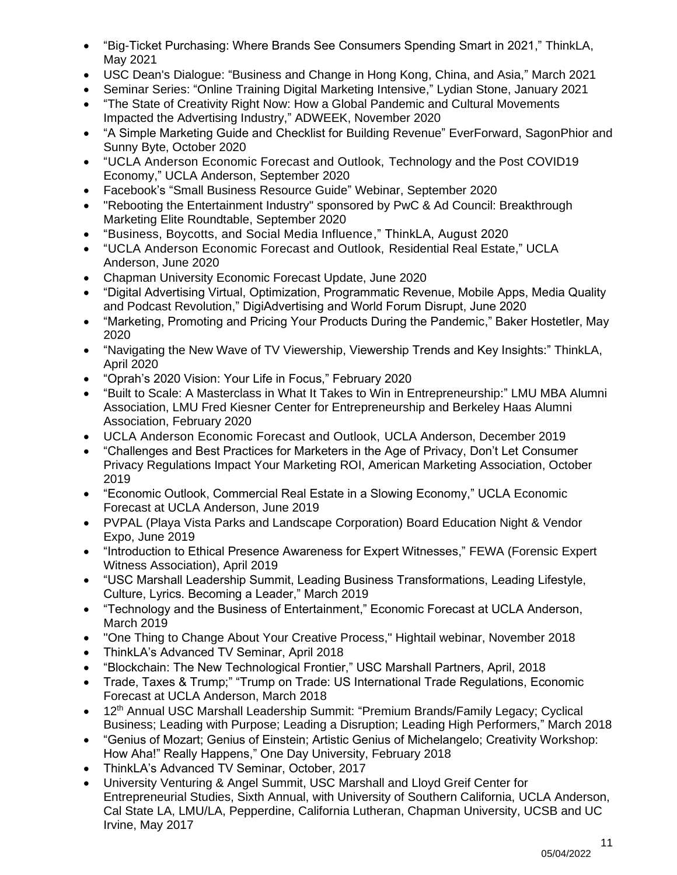- "Big-Ticket Purchasing: Where Brands See Consumers Spending Smart in 2021," ThinkLA, May 2021
- USC Dean's Dialogue: "Business and Change in Hong Kong, China, and Asia," March 2021
- Seminar Series: "Online Training Digital Marketing Intensive," Lydian Stone, January 2021
- "The State of Creativity Right Now: How a Global Pandemic and Cultural Movements Impacted the Advertising Industry," ADWEEK, November 2020
- "A Simple Marketing Guide and Checklist for Building Revenue" EverForward, SagonPhior and Sunny Byte, October 2020
- "UCLA Anderson Economic Forecast and Outlook, Technology and the Post COVID19 Economy," UCLA Anderson, September 2020
- Facebook's "Small Business Resource Guide" Webinar, September 2020
- "Rebooting the Entertainment Industry" sponsored by PwC & Ad Council: Breakthrough Marketing Elite Roundtable, September 2020
- "Business, Boycotts, and Social Media Influence," ThinkLA, August 2020
- "UCLA Anderson Economic Forecast and Outlook, Residential Real Estate," UCLA Anderson, June 2020
- Chapman University Economic Forecast Update, June 2020
- "Digital Advertising Virtual, Optimization, Programmatic Revenue, Mobile Apps, Media Quality and Podcast Revolution," DigiAdvertising and World Forum Disrupt, June 2020
- "Marketing, Promoting and Pricing Your Products During the Pandemic," Baker Hostetler, May 2020
- "Navigating the New Wave of TV Viewership, Viewership Trends and Key Insights:" ThinkLA, April 2020
- "Oprah's 2020 Vision: Your Life in Focus," February 2020
- "Built to Scale: A Masterclass in What It Takes to Win in Entrepreneurship:" LMU MBA Alumni Association, LMU Fred Kiesner Center for Entrepreneurship and Berkeley Haas Alumni Association, February 2020
- UCLA Anderson Economic Forecast and Outlook, UCLA Anderson, December 2019
- "Challenges and Best Practices for Marketers in the Age of Privacy, Don't Let Consumer Privacy Regulations Impact Your Marketing ROI, American Marketing Association, October 2019
- "Economic Outlook, Commercial Real Estate in a Slowing Economy," UCLA Economic Forecast at UCLA Anderson, June 2019
- PVPAL (Playa Vista Parks and Landscape Corporation) Board Education Night & Vendor Expo, June 2019
- "Introduction to Ethical Presence Awareness for Expert Witnesses," FEWA (Forensic Expert Witness Association), April 2019
- "USC Marshall Leadership Summit, Leading Business Transformations, Leading Lifestyle, Culture, Lyrics. Becoming a Leader," March 2019
- "Technology and the Business of Entertainment," Economic Forecast at UCLA Anderson, March 2019
- "One Thing to Change About Your Creative Process," Hightail webinar, November 2018
- ThinkLA's Advanced TV Seminar, April 2018
- "Blockchain: The New Technological Frontier," USC Marshall Partners, April, 2018
- Trade, Taxes & Trump;" "Trump on Trade: US International Trade Regulations, Economic Forecast at UCLA Anderson, March 2018
- 12<sup>th</sup> Annual USC Marshall Leadership Summit: "Premium Brands/Family Legacy; Cyclical Business; Leading with Purpose; Leading a Disruption; Leading High Performers," March 2018
- "Genius of Mozart; Genius of Einstein; Artistic Genius of Michelangelo; Creativity Workshop: How Aha!" Really Happens," One Day University, February 2018
- ThinkLA's Advanced TV Seminar, October, 2017
- University Venturing & Angel Summit, USC Marshall and Lloyd Greif Center for Entrepreneurial Studies, Sixth Annual, with University of Southern California, UCLA Anderson, Cal State LA, LMU/LA, Pepperdine, California Lutheran, Chapman University, UCSB and UC Irvine, May 2017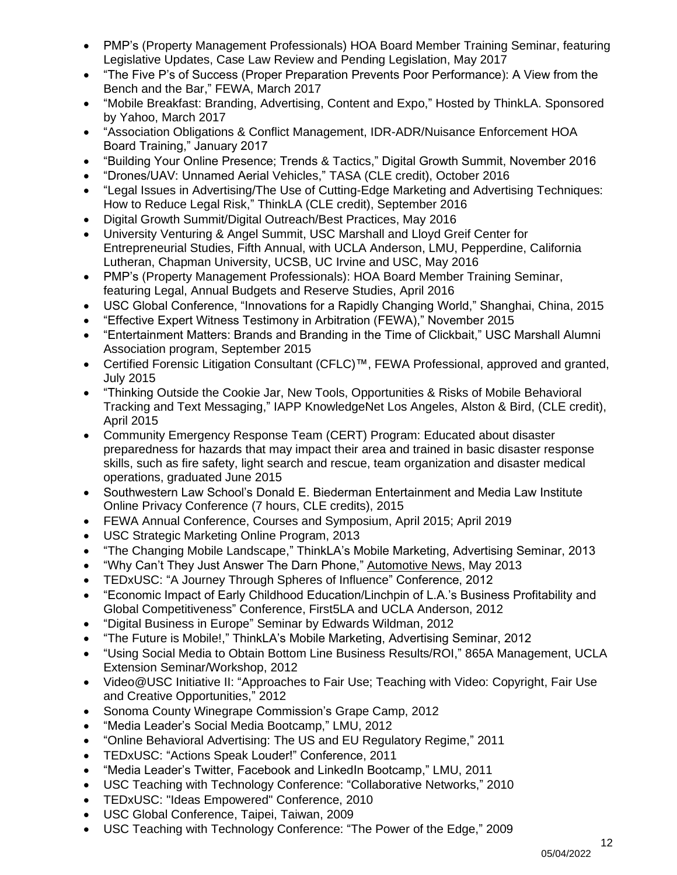- PMP's [\(Property Management Professionals\)](http://pmprollc.com/our-team/) HOA Board Member Training Seminar, featuring Legislative Updates, Case Law Review and Pending Legislation, May 2017
- "The Five P's of Success (Proper Preparation Prevents Poor Performance): A View from the Bench and the Bar," FEWA, March 2017
- "Mobile Breakfast: Branding, Advertising, Content and Expo," Hosted by ThinkLA. Sponsored by Yahoo, March 2017
- "Association Obligations & Conflict Management, IDR-ADR/Nuisance Enforcement HOA Board Training," January 2017
- "Building Your Online Presence; Trends & Tactics," Digital Growth Summit, November 2016
- "Drones/UAV: Unnamed Aerial Vehicles," TASA (CLE credit), October 2016
- "Legal Issues in Advertising/The Use of Cutting-Edge Marketing and Advertising Techniques: How to Reduce Legal Risk," ThinkLA (CLE credit), September 2016
- Digital Growth Summit/Digital Outreach/Best Practices, May 2016
- University Venturing & Angel Summit, USC Marshall and Lloyd Greif Center for Entrepreneurial Studies, Fifth Annual, with UCLA Anderson, LMU, Pepperdine, California Lutheran, Chapman University, UCSB, UC Irvine and USC, May 2016
- PMP's [\(Property Management Professionals\):](http://pmprollc.com/our-team/) HOA Board Member Training Seminar, featuring Legal, Annual Budgets and Reserve Studies, April 2016
- USC Global Conference, "Innovations for a Rapidly Changing World," Shanghai, China, 2015
- "Effective Expert Witness Testimony in Arbitration (FEWA)," November 2015
- "Entertainment Matters: Brands and Branding in the Time of Clickbait," USC Marshall Alumni Association program, September 2015
- Certified Forensic Litigation Consultant (CFLC)™, FEWA Professional, approved and granted, July 2015
- "Thinking Outside the Cookie Jar, New Tools, Opportunities & Risks of Mobile Behavioral Tracking and Text Messaging," IAPP KnowledgeNet Los Angeles, Alston & Bird, (CLE credit), April 2015
- Community Emergency Response Team (CERT) Program: Educated about disaster preparedness for hazards that may impact their area and trained in basic disaster response skills, such as fire safety, light search and rescue, team organization and disaster medical operations, graduated June 2015
- Southwestern Law School's Donald E. Biederman Entertainment and Media Law Institute Online Privacy Conference (7 hours, CLE credits), 2015
- FEWA Annual Conference, Courses and Symposium, April 2015; April 2019
- USC Strategic Marketing Online Program, 2013
- "The Changing Mobile Landscape," ThinkLA's Mobile Marketing, Advertising Seminar, 2013
- "Why Can't They Just Answer The Darn Phone," Automotive News, May 2013
- TEDxUSC: "A Journey Through Spheres of Influence" Conference, 2012
- "Economic Impact of Early Childhood Education/Linchpin of L.A.'s Business Profitability and Global Competitiveness" Conference, First5LA and UCLA Anderson, 2012
- "Digital Business in Europe" Seminar by Edwards Wildman, 2012
- "The Future is Mobile!," ThinkLA's Mobile Marketing, Advertising Seminar, 2012
- "Using Social Media to Obtain Bottom Line Business Results/ROI," 865A Management, UCLA Extension Seminar/Workshop, 2012
- Video@USC Initiative II: "Approaches to Fair Use; Teaching with Video: Copyright, Fair Use and Creative Opportunities," 2012
- Sonoma County Winegrape Commission's Grape Camp, 2012
- "Media Leader's Social Media Bootcamp," LMU, 2012
- "Online Behavioral Advertising: The US and EU Regulatory Regime," 2011
- TEDxUSC: "Actions Speak Louder!" Conference, 2011
- "Media Leader's Twitter, Facebook and LinkedIn Bootcamp," LMU, 2011
- USC Teaching with Technology Conference: "Collaborative Networks," 2010
- TEDxUSC: "Ideas Empowered" Conference, 2010
- USC Global Conference, Taipei, Taiwan, 2009
- USC Teaching with Technology Conference: "The Power of the Edge," 2009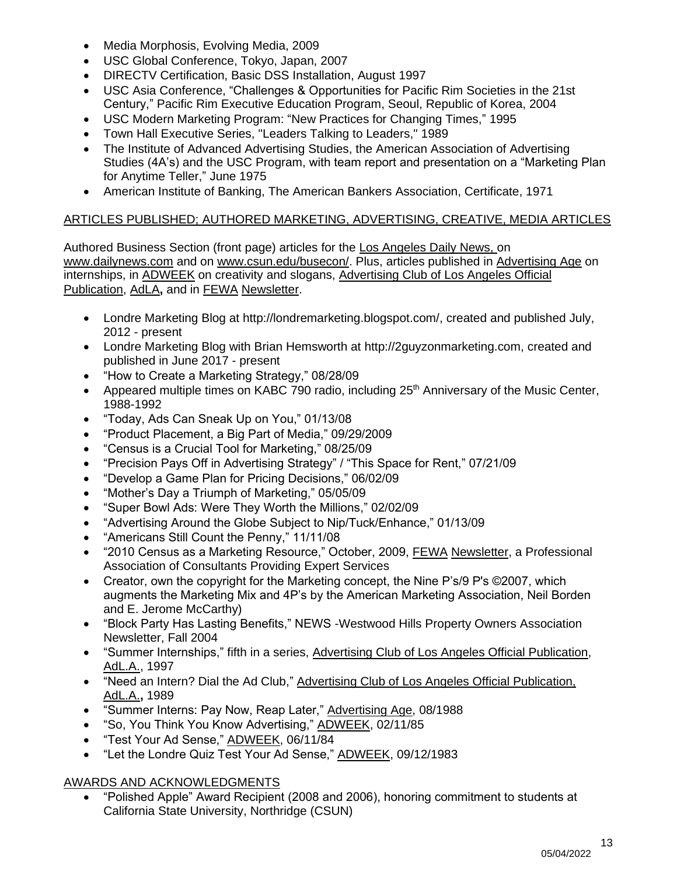- Media Morphosis, Evolving Media, 2009
- USC Global Conference, Tokyo, Japan, 2007
- DIRECTV Certification, Basic DSS Installation, August 1997
- USC Asia Conference, "Challenges & Opportunities for Pacific Rim Societies in the 21st Century," Pacific Rim Executive Education Program, Seoul, Republic of Korea, 2004
- USC Modern Marketing Program: "New Practices for Changing Times," 1995
- Town Hall Executive Series, "Leaders Talking to Leaders," 1989
- The Institute of Advanced Advertising Studies, the American Association of Advertising Studies (4A's) and the USC Program, with team report and presentation on a "Marketing Plan for Anytime Teller," June 1975
- American Institute of Banking, The American Bankers Association, Certificate, 1971

## ARTICLES PUBLISHED; AUTHORED MARKETING, ADVERTISING, CREATIVE, MEDIA ARTICLES

Authored Business Section (front page) articles for the Los Angeles Daily News, on [www.dailynews.com](http://www.dailynews.com/) and on www.csun.edu/busecon/. Plus, articles published in Advertising Age on internships, in ADWEEK on creativity and slogans, Advertising Club of Los Angeles Official Publication, AdLA**,** and in FEWA Newsletter.

- Londre Marketing Blog at [http://londremarketing.blogspot.com/,](http://londremarketing.blogspot.com/) created and published July, 2012 - present
- Londre Marketing Blog with Brian Hemsworth at [http://2guyzonmarketing.com,](http://2guyzonmarketing.com/) created and published in June 2017 - present
- "How to Create a Marketing Strategy," 08/28/09
- Appeared multiple times on KABC 790 radio, including 25<sup>th</sup> Anniversary of the Music Center, 1988-1992
- "Today, Ads Can Sneak Up on You," 01/13/08
- "Product Placement, a Big Part of Media," 09/29/2009
- "Census is a Crucial Tool for Marketing," 08/25/09
- "Precision Pays Off in Advertising Strategy" / "This Space for Rent," 07/21/09
- "Develop a Game Plan for Pricing Decisions," 06/02/09
- "Mother's Day a Triumph of Marketing," 05/05/09
- "Super Bowl Ads: Were They Worth the Millions," 02/02/09
- "Advertising Around the Globe Subject to Nip/Tuck/Enhance," 01/13/09
- "Americans Still Count the Penny," 11/11/08
- "2010 Census as a Marketing Resource," October, 2009, FEWA Newsletter, a Professional Association of Consultants Providing Expert Services
- Creator, own the copyright for the Marketing concept, the Nine P's/9 P's ©2007, which augments the Marketing Mix and 4P's by the American Marketing Association, Neil Borden and E. Jerome McCarthy)
- "Block Party Has Lasting Benefits," NEWS -Westwood Hills Property Owners Association Newsletter, Fall 2004
- "Summer Internships," fifth in a series, Advertising Club of Los Angeles Official Publication, AdL.A., 1997
- "Need an Intern? Dial the Ad Club," Advertising Club of Los Angeles Official Publication, AdL.A.**,** 1989
- "Summer Interns: Pay Now, Reap Later," Advertising Age, 08/1988
- "So, You Think You Know Advertising," ADWEEK, 02/11/85
- "Test Your Ad Sense," ADWEEK, 06/11/84
- "Let the Londre Quiz Test Your Ad Sense," ADWEEK, 09/12/1983

## AWARDS AND ACKNOWLEDGMENTS

• "Polished Apple" Award Recipient (2008 and 2006), honoring commitment to students at California State University, Northridge (CSUN)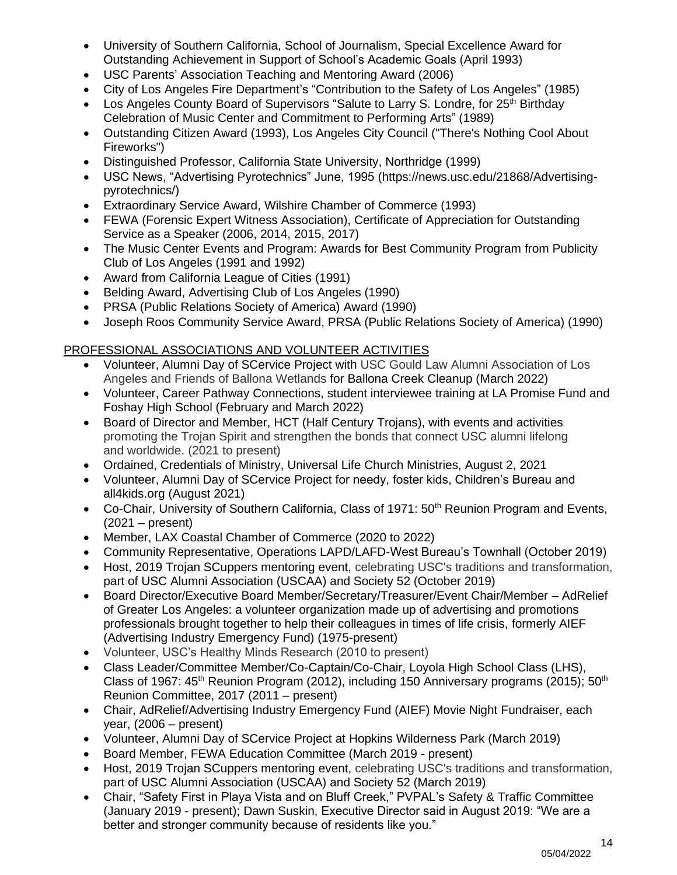- University of Southern California, School of Journalism, Special Excellence Award for Outstanding Achievement in Support of School's Academic Goals (April 1993)
- USC Parents' Association Teaching and Mentoring Award (2006)
- City of Los Angeles Fire Department's "Contribution to the Safety of Los Angeles" (1985)
- Los Angeles County Board of Supervisors "Salute to Larry S. Londre, for 25<sup>th</sup> Birthday Celebration of Music Center and Commitment to Performing Arts" (1989)
- Outstanding Citizen Award (1993), Los Angeles City Council ("There's Nothing Cool About Fireworks")
- Distinguished Professor, California State University, Northridge (1999)
- USC News, "Advertising Pyrotechnics" June, 1995 (https://news.usc.edu/21868/Advertisingpyrotechnics/)
- Extraordinary Service Award, Wilshire Chamber of Commerce (1993)
- FEWA (Forensic Expert Witness Association), Certificate of Appreciation for Outstanding Service as a Speaker (2006, 2014, 2015, 2017)
- The Music Center Events and Program: Awards for Best Community Program from Publicity Club of Los Angeles (1991 and 1992)
- Award from California League of Cities (1991)
- Belding Award, Advertising Club of Los Angeles (1990)
- PRSA (Public Relations Society of America) Award (1990)
- Joseph Roos Community Service Award, PRSA (Public Relations Society of America) (1990)

## PROFESSIONAL ASSOCIATIONS AND VOLUNTEER ACTIVITIES

- Volunteer, Alumni Day of SCervice Project with USC Gould Law Alumni Association of Los Angeles and Friends of Ballona Wetlands for Ballona Creek Cleanup (March 2022)
- Volunteer, Career Pathway Connections, student interviewee training at LA Promise Fund and Foshay High School (February and March 2022)
- Board of Director and Member, HCT (Half Century Trojans), with events and activities promoting the Trojan Spirit and strengthen the bonds that connect USC alumni lifelong and worldwide. (2021 to present)
- Ordained, Credentials of Ministry, Universal Life Church Ministries, August 2, 2021
- Volunteer, Alumni Day of SCervice Project for needy, foster kids, Children's Bureau and all4kids.org (August 2021)
- Co-Chair, University of Southern California, Class of 1971: 50<sup>th</sup> Reunion Program and Events, (2021 – present)
- Member, LAX Coastal Chamber of Commerce (2020 to 2022)
- Community Representative, Operations LAPD/LAFD-West Bureau's Townhall (October 2019)
- Host, 2019 Trojan SCuppers mentoring event, celebrating USC's traditions and transformation, part of USC Alumni Association (USCAA) and Society 52 (October 2019)
- Board Director/Executive Board Member/Secretary/Treasurer/Event Chair/Member AdRelief of Greater Los Angeles: a volunteer organization made up of advertising and promotions professionals brought together to help their colleagues in times of life crisis, formerly AIEF (Advertising Industry Emergency Fund) (1975-present)
- Volunteer, USC's Healthy Minds Research (2010 to present)
- Class Leader/Committee Member/Co-Captain/Co-Chair, Loyola High School Class (LHS), Class of 1967:  $45<sup>th</sup>$  Reunion Program (2012), including 150 Anniversary programs (2015); 50<sup>th</sup> Reunion Committee, 2017 (2011 – present)
- Chair, AdRelief/Advertising Industry Emergency Fund (AIEF) Movie Night Fundraiser, each year, (2006 – present)
- Volunteer, Alumni Day of SCervice Project at Hopkins Wilderness Park (March 2019)
- Board Member, FEWA Education Committee (March 2019 present)
- Host, 2019 Trojan SCuppers mentoring event, celebrating USC's traditions and transformation, part of USC Alumni Association (USCAA) and Society 52 (March 2019)
- Chair, "Safety First in Playa Vista and on Bluff Creek," PVPAL's Safety & Traffic Committee (January 2019 - present); Dawn Suskin, Executive Director said in August 2019: "We are a better and stronger community because of residents like you."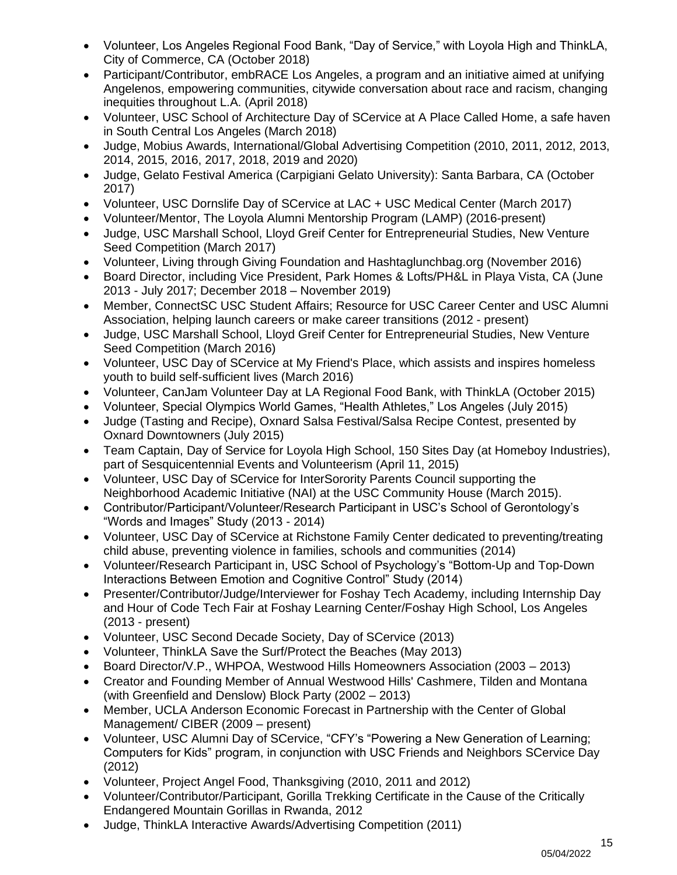- Volunteer, Los Angeles Regional Food Bank, "Day of Service," with Loyola High and ThinkLA, City of Commerce, CA (October 2018)
- Participant/Contributor, embRACE Los Angeles, a program and an initiative aimed at unifying Angelenos, empowering communities, citywide conversation about race and racism, changing inequities throughout L.A. (April 2018)
- Volunteer, USC School of Architecture Day of SCervice at A Place Called Home, a safe haven in South Central Los Angeles (March 2018)
- Judge, Mobius Awards, International/Global Advertising Competition (2010, 2011, 2012, 2013, 2014, 2015, 2016, 2017, 2018, 2019 and 2020)
- Judge, Gelato Festival America (Carpigiani Gelato University): Santa Barbara, CA (October 2017)
- Volunteer, USC Dornslife Day of SCervice at LAC + USC Medical Center (March 2017)
- Volunteer/Mentor, The Loyola Alumni Mentorship Program (LAMP) (2016-present)
- Judge, USC Marshall School, Lloyd Greif Center for Entrepreneurial Studies, New Venture Seed Competition (March 2017)
- Volunteer, Living through Giving Foundation and [Hashtaglunchbag.](https://www.facebook.com/hashtag/hashtaglunchbag?source=feed_text&story_id=705400009609283)org (November 2016)
- Board Director, including Vice President, Park Homes & Lofts/PH&L in Playa Vista, CA (June 2013 - July 2017; December 2018 – November 2019)
- Member, ConnectSC USC Student Affairs: Resource for USC Career Center and USC Alumni Association, helping launch careers or make career transitions (2012 - present)
- Judge, USC Marshall School, Lloyd Greif Center for Entrepreneurial Studies, New Venture Seed Competition (March 2016)
- Volunteer, USC Day of SCervice at My Friend's Place, which assists and inspires homeless youth to build self-sufficient lives (March 2016)
- Volunteer, CanJam Volunteer Day at LA Regional Food Bank, with ThinkLA (October 2015)
- Volunteer, Special Olympics World Games, "Health Athletes," Los Angeles (July 2015)
- Judge (Tasting and Recipe), Oxnard Salsa Festival/Salsa Recipe Contest, presented by Oxnard Downtowners (July 2015)
- Team Captain, Day of Service for Loyola High School, 150 Sites Day (at Homeboy Industries), part of Sesquicentennial Events and Volunteerism (April 11, 2015)
- Volunteer, USC Day of SCervice for InterSorority Parents Council supporting the Neighborhood Academic Initiative (NAI) at the USC Community House (March 2015).
- Contributor/Participant/Volunteer/Research Participant in USC's School of Gerontology's "Words and Images" Study (2013 - 2014)
- Volunteer, USC Day of SCervice at Richstone Family Center dedicated to preventing/treating child abuse, preventing violence in families, schools and communities (2014)
- Volunteer/Research Participant in, USC School of Psychology's "Bottom-Up and Top-Down Interactions Between Emotion and Cognitive Control" Study (2014)
- Presenter/Contributor/Judge/Interviewer for Foshay Tech Academy, including Internship Day and Hour of Code Tech Fair at Foshay Learning Center/Foshay High School, Los Angeles (2013 - present)
- Volunteer, USC Second Decade Society, Day of SCervice (2013)
- Volunteer, ThinkLA Save the Surf/Protect the Beaches (May 2013)
- Board Director/V.P., WHPOA, Westwood Hills Homeowners Association (2003 2013)
- Creator and Founding Member of Annual Westwood Hills' Cashmere, Tilden and Montana (with Greenfield and Denslow) Block Party (2002 – 2013)
- Member, UCLA Anderson Economic Forecast in Partnership with the Center of Global Management/ CIBER (2009 – present)
- Volunteer, USC Alumni Day of SCervice, "CFY's "Powering a New Generation of Learning; Computers for Kids" program, in conjunction with USC Friends and Neighbors SCervice Day (2012)
- Volunteer, Project Angel Food, Thanksgiving (2010, 2011 and 2012)
- Volunteer/Contributor/Participant, Gorilla Trekking Certificate in the Cause of the Critically Endangered Mountain Gorillas in Rwanda, 2012
- Judge, ThinkLA Interactive Awards/Advertising Competition (2011)